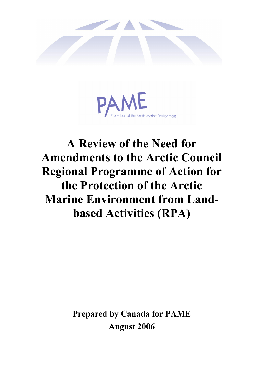



# **A Review of the Need for Amendments to the Arctic Council Regional Programme of Action for the Protection of the Arctic Marine Environment from Landbased Activities (RPA)**

**Prepared by Canada for PAME August 2006**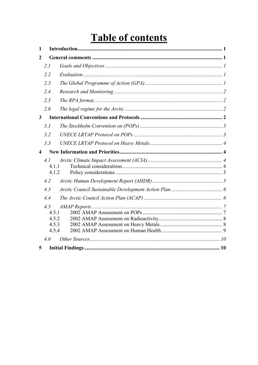# **Table of contents**

| $\mathbf{1}$            |                                         |  |  |
|-------------------------|-----------------------------------------|--|--|
| $\overline{2}$          |                                         |  |  |
|                         | 2.1                                     |  |  |
|                         | 2.2                                     |  |  |
|                         | 2.3                                     |  |  |
|                         | 2.4                                     |  |  |
|                         | 2.5                                     |  |  |
|                         | 2.6                                     |  |  |
| $\mathbf{3}$            |                                         |  |  |
|                         | 3.1                                     |  |  |
|                         | 3.2                                     |  |  |
|                         | 3.3                                     |  |  |
| $\overline{\mathbf{4}}$ |                                         |  |  |
|                         | 4.1<br>4.1.1<br>4.1.2                   |  |  |
|                         | 4.2                                     |  |  |
|                         | 4.3                                     |  |  |
|                         | 4.4                                     |  |  |
|                         | 4.5<br>4.5.1<br>4.5.2<br>4.5.3<br>4.5.4 |  |  |
|                         | 4.6                                     |  |  |
| 5                       |                                         |  |  |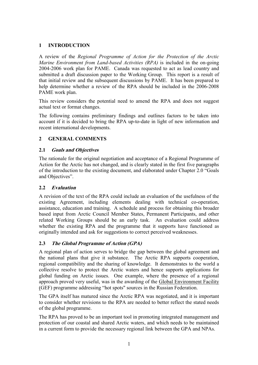#### **1 INTRODUCTION**

A review of the *Regional Programme of Action for the Protection of the Arctic Marine Environment from Land-based Activities (RPA)* is included in the on-going 2004-2006 work plan for PAME. Canada was requested to act as lead country and submitted a draft discussion paper to the Working Group. This report is a result of that initial review and the subsequent discussions by PAME. It has been prepared to help determine whether a review of the RPA should be included in the 2006-2008 PAME work plan.

This review considers the potential need to amend the RPA and does not suggest actual text or format changes.

The following contains preliminary findings and outlines factors to be taken into account if it is decided to bring the RPA up-to-date in light of new information and recent international developments.

#### **2 GENERAL COMMENTS**

#### **2.1 Goals and Objectives**

The rationale for the original negotiation and acceptance of a Regional Programme of Action for the Arctic has not changed, and is clearly stated in the first five paragraphs of the introduction to the existing document, and elaborated under Chapter 2.0 "Goals and Objectives".

#### **2.2 Evaluation**

A revision of the text of the RPA could include an evaluation of the usefulness of the existing Agreement, including elements dealing with technical co-operation, assistance, education and training. A schedule and process for obtaining this broader based input from Arctic Council Member States, Permanent Participants, and other related Working Groups should be an early task. An evaluation could address whether the existing RPA and the programme that it supports have functioned as originally intended and ask for suggestions to correct perceived weaknesses.

# **2.3 The Global Programme of Action (GPA)**

A regional plan of action serves to bridge the gap between the global agreement and the national plans that give it substance. The Arctic RPA supports cooperation, regional compatibility and the sharing of knowledge. It demonstrates to the world a collective resolve to protect the Arctic waters and hence supports applications for global funding on Arctic issues. One example, where the presence of a regional approach proved very useful, was in the awarding of the Global Environment Facility (GEF) programme addressing "hot spots" sources in the Russian Federation.

The GPA itself has matured since the Arctic RPA was negotiated, and it is important to consider whether revisions to the RPA are needed to better reflect the stated needs of the global programme.

The RPA has proved to be an important tool in promoting integrated management and protection of our coastal and shared Arctic waters, and which needs to be maintained in a current form to provide the necessary regional link between the GPA and NPAs.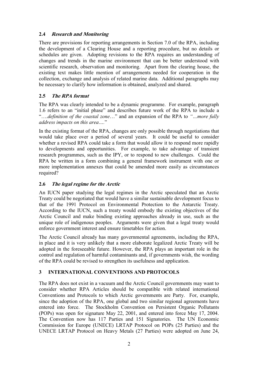# **2.4 Research and Monitoring**

There are provisions for reporting arrangements in Section 7.0 of the RPA, including the development of a Clearing House and a reporting procedure, but no details or schedules are given. Adopting revisions to the RPA requires an understanding of changes and trends in the marine environment that can be better understood with scientific research, observation and monitoring. Apart from the clearing house, the existing text makes little mention of arrangements needed for cooperation in the collection, exchange and analysis of related marine data. Additional paragraphs may be necessary to clarify how information is obtained, analyzed and shared.

# **2.5 The RPA format**

The RPA was clearly intended to be a dynamic programme. For example, paragraph 1.6 refers to an "initial phase" and describes future work of the RPA to include a "….*definition of the coastal zone*…" and an expansion of the RPA to *"…more fully address impacts on this area….*"

In the existing format of the RPA, changes are only possible through negotiations that would take place over a period of several years. It could be useful to consider whether a revised RPA could take a form that would allow it to respond more rapidly to developments and opportunities. For example, to take advantage of transient research programmes, such as the IPY, or to respond to new challenges. Could the RPA be written in a form combining a general framework instrument with one or more implementation annexes that could be amended more easily as circumstances required?

# **2.6 The legal regime for the Arctic**

An IUCN paper studying the legal regimes in the Arctic speculated that an Arctic Treaty could be negotiated that would have a similar sustainable development focus to that of the 1991 Protocol on Environmental Protection to the Antarctic Treaty. According to the IUCN, such a treaty would embody the existing objectives of the Arctic Council and make binding existing approaches already in use, such as the unique role of indigenous peoples. Arguments were given that a legal treaty would enforce government interest and ensure timetables for action.

The Arctic Council already has many governmental agreements, including the RPA, in place and it is very unlikely that a more elaborate legalized Arctic Treaty will be adopted in the foreseeable future. However, the RPA plays an important role in the control and regulation of harmful contaminants and, if governments wish, the wording of the RPA could be revised to strengthen its usefulness and application.

# **3 INTERNATIONAL CONVENTIONS AND PROTOCOLS**

The RPA does not exist in a vacuum and the Arctic Council governments may want to consider whether RPA Articles should be compatible with related international Conventions and Protocols to which Arctic governments are Party. For, example, since the adoption of the RPA, one global and two similar regional agreements have entered into force. The Stockholm Convention on Persistent Organic Pollutants (POPs) was open for signature May 22, 2001, and entered into force May 17, 2004. The Convention now has 117 Parties and 151 Signatories. The UN Economic Commission for Europe (UNECE) LRTAP Protocol on POPs (25 Parties) and the UNECE LRTAP Protocol on Heavy Metals (27 Parties) were adopted on June 24,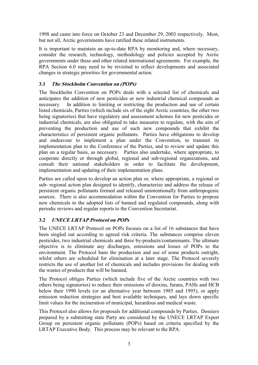1998 and came into force on October 23 and December 29, 2003 respectively. Most, but not all, Arctic governments have ratified these related instruments.

It is important to maintain an up-to-date RPA by monitoring and, where necessary, consider the research, technology, methodology and policies accepted by Arctic governments under these and other related international agreements. For example, the RPA Section 6.0 may need to be revisited to reflect developments and associated changes in strategic priorities for governmental action.

# **3.1 The Stockholm Convention on (POPs)**

The Stockholm Convention on POPs deals with a selected list of chemicals and anticipates the addition of new pesticides or new industrial chemical compounds as necessary. In addition to limiting or restricting the production and use of certain listed chemicals, Parties (which include six of the eight Arctic countries, the other two being signatories) that have regulatory and assessment schemes for new pesticides or industrial chemicals, are also obligated to take measures to regulate, with the aim of preventing the production and use of such new compounds that exhibit the characteristics of persistent organic pollutants. Parties have obligations to develop and endeavour to implement a plan under the Convention, to transmit its implementation plan to the Conference of the Parties, and to review and update this plan on a regular basis, as necessary. Parties also undertake, where appropriate, to cooperate directly or through global, regional and sub-regional organizations, and consult their national stakeholders in order to facilitate the development, implementation and updating of their implementation plans.

Parties are called upon to develop an action plan or, where appropriate, a regional or sub- regional action plan designed to identify, characterize and address the release of persistent organic pollutants formed and released unintentionally from anthropogenic sources. There is also accommodation within the Convention for Parties to propose new chemicals to the adopted lists of banned and regulated compounds, along with periodic reviews and regular reports to the Convention Secretariat.

# **3.2 UNECE LRTAP Protocol on POPs**

The UNECE LRTAP Protocol on POPs focuses on a list of 16 substances that have been singled out according to agreed risk criteria. The substances comprise eleven pesticides, two industrial chemicals and three by-products/contaminants. The ultimate objective is to eliminate any discharges, emissions and losses of POPs to the environment. The Protocol bans the production and use of some products outright, whilst others are scheduled for elimination at a later stage. The Protocol severely restricts the use of another list of chemicals and includes provisions for dealing with the wastes of products that will be banned.

The Protocol obliges Parties (which include five of the Arctic countries with two others being signatories) to reduce their emissions of dioxins, furans, PAHs and HCB below their 1990 levels (or an alternative year between 1985 and 1995), or apply emission reduction strategies and best available techniques, and lays down specific limit values for the incineration of municipal, hazardous and medical waste.

This Protocol also allows for proposals for additional compounds by Parties. Dossiers prepared by a submitting state Party are considered by the UNECE LRTAP Expert Group on persistent organic pollutants (POPs) based on criteria specified by the LRTAP Executive Body. This process may be relevant to the RPA.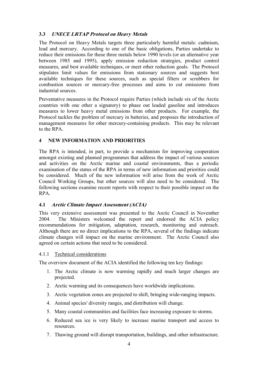# **3.3 UNECE LRTAP Protocol on Heavy Metals**

The Protocol on Heavy Metals targets three particularly harmful metals: cadmium, lead and mercury. According to one of the basic obligations, Parties undertake to reduce their emissions for these three metals below 1990 levels (or an alternative year between 1985 and 1995), apply emission reduction strategies, product control measures, and best available techniques, or meet other reduction goals. The Protocol stipulates limit values for emissions from stationary sources and suggests best available techniques for these sources, such as special filters or scrubbers for combustion sources or mercury-free processes and aims to cut emissions from industrial sources.

Preventative measures in the Protocol require Parties (which include six of the Arctic countries with one other a signatory) to phase out leaded gasoline and introduces measures to lower heavy metal emissions from other products. For example, the Protocol tackles the problem of mercury in batteries, and proposes the introduction of management measures for other mercury-containing products. This may be relevant to the RPA.

#### **4 NEW INFORMATION AND PRIORITIES**

The RPA is intended, in part, to provide a mechanism for improving cooperation amongst existing and planned programmes that address the impact of various sources and activities on the Arctic marine and coastal environments, thus a periodic examination of the status of the RPA in terms of new information and priorities could be considered. Much of the new information will arise from the work of Arctic Council Working Groups, but other sources will also need to be considered. The following sections examine recent reports with respect to their possible impact on the RPA.

#### **4.1 Arctic Climate Impact Assessment (ACIA)**

This very extensive assessment was presented to the Arctic Council in November 2004. The Ministers welcomed the report and endorsed the ACIA policy recommendations for mitigation, adaptation, research, monitoring and outreach. Although there are no direct implications to the RPA, several of the findings indicate climate changes will impact on the marine environment. The Arctic Council also agreed on certain actions that need to be considered.

#### 4.1.1 Technical considerations

The overview document of the ACIA identified the following ten key findings:

- 1. The Arctic climate is now warming rapidly and much larger changes are projected.
- 2. Arctic warming and its consequences have worldwide implications.
- 3. Arctic vegetation zones are projected to shift, bringing wide-ranging impacts.
- 4. Animal species' diversity ranges, and distribution will change.
- 5. Many coastal communities and facilities face increasing exposure to storms.
- 6. Reduced sea ice is very likely to increase marine transport and access to resources.
- 7. Thawing ground will disrupt transportation, buildings, and other infrastructure.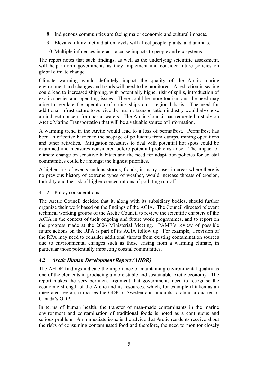- 8. Indigenous communities are facing major economic and cultural impacts.
- 9. Elevated ultraviolet radiation levels will affect people, plants, and animals.
- 10. Multiple influences interact to cause impacts to people and ecosystems.

The report notes that such findings, as well as the underlying scientific assessment, will help inform governments as they implement and consider future policies on global climate change.

Climate warming would definitely impact the quality of the Arctic marine environment and changes and trends will need to be monitored. A reduction in sea ice could lead to increased shipping, with potentially higher risk of spills, introduction of exotic species and operating issues. There could be more tourism and the need may arise to regulate the operation of cruise ships on a regional basis. The need for additional infrastructure to service the marine transportation industry would also pose an indirect concern for coastal waters. The Arctic Council has requested a study on Arctic Marine Transportation that will be a valuable source of information.

A warming trend in the Arctic would lead to a loss of permafrost. Permafrost has been an effective barrier to the seepage of pollutants from dumps, mining operations and other activities. Mitigation measures to deal with potential hot spots could be examined and measures considered before potential problems arise. The impact of climate change on sensitive habitats and the need for adaptation policies for coastal communities could be amongst the highest priorities.

A higher risk of events such as storms, floods, in many cases in areas where there is no previous history of extreme types of weather, would increase threats of erosion, turbidity and the risk of higher concentrations of polluting run-off.

#### 4.1.2 Policy considerations

The Arctic Council decided that it, along with its subsidiary bodies, should further organize their work based on the findings of the ACIA. The Council directed relevant technical working groups of the Arctic Council to review the scientific chapters of the ACIA in the context of their ongoing and future work programmes, and to report on the progress made at the 2006 Ministerial Meeting. PAME's review of possible future actions on the RPA is part of its ACIA follow up. For example, a revision of the RPA may need to consider additional threats from existing contamination sources due to environmental changes such as those arising from a warming climate, in particular those potentially impacting coastal communities.

#### **4.2 Arctic Human Development Report (AHDR)**

The AHDR findings indicate the importance of maintaining environmental quality as one of the elements in producing a more stable and sustainable Arctic economy. The report makes the very pertinent argument that governments need to recognise the economic strength of the Arctic and its resources, which, for example if taken as an integrated region, surpasses the GDP of Sweden and amounts to about a quarter of Canada's GDP.

In terms of human health, the transfer of man-made contaminants in the marine environment and contamination of traditional foods is noted as a continuous and serious problem. An immediate issue is the advice that Arctic residents receive about the risks of consuming contaminated food and therefore, the need to monitor closely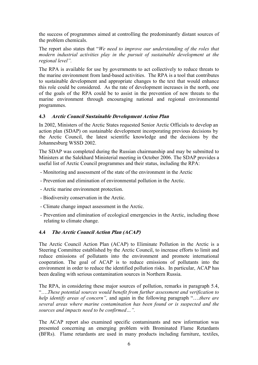the success of programmes aimed at controlling the predominantly distant sources of the problem chemicals.

The report also states that "*We need to improve our understanding of the roles that modern industrial activities play in the pursuit of sustainable development at the regional level".* 

The RPA is available for use by governments to act collectively to reduce threats to the marine environment from land-based activities. The RPA is a tool that contributes to sustainable development and appropriate changes to the text that would enhance this role could be considered. As the rate of development increases in the north, one of the goals of the RPA could be to assist in the prevention of new threats to the marine environment through encouraging national and regional environmental programmes.

#### **4.3 Arctic Council Sustainable Development Action Plan**

In 2002, Ministers of the Arctic States requested Senior Arctic Officials to develop an action plan (SDAP) on sustainable development incorporating previous decisions by the Arctic Council, the latest scientific knowledge and the decisions by the Johannesburg WSSD 2002.

The SDAP was completed during the Russian chairmanship and may be submitted to Ministers at the Salekhard Ministerial meeting in October 2006. The SDAP provides a useful list of Arctic Council programmes and their status, including the RPA:

- Monitoring and assessment of the state of the environment in the Arctic
- Prevention and elimination of environmental pollution in the Arctic.
- Arctic marine environment protection.
- Biodiversity conservation in the Arctic.
- Climate change impact assessment in the Arctic.
- Prevention and elimination of ecological emergencies in the Arctic, including those relating to climate change.

#### **4.4 The Arctic Council Action Plan (ACAP)**

The Arctic Council Action Plan (ACAP) to Eliminate Pollution in the Arctic is a Steering Committee established by the Arctic Council, to increase efforts to limit and reduce emissions of pollutants into the environment and promote international cooperation. The goal of ACAP is to reduce emissions of pollutants into the environment in order to reduce the identified pollution risks. In particular, ACAP has been dealing with serious contamination sources in Northern Russia.

The RPA, in considering these major sources of pollution, remarks in paragraph 5.4, "….*These potential sources would benefit from further assessment and verification to help identify areas of concern",* and again in the following paragraph "….*there are several areas where marine contamination has been found or is suspected and the sources and impacts need to be confirmed…".* 

The ACAP report also examined specific contaminants and new information was presented concerning an emerging problem with Brominated Flame Retardants (BFRs). Flame retardants are used in many products including furniture, textiles,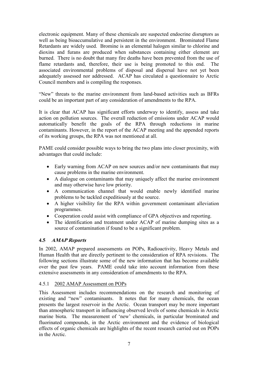electronic equipment. Many of these chemicals are suspected endocrine disruptors as well as being bioaccumulative and persistent in the environment. Brominated Flame Retardants are widely used. Bromine is an elemental halogen similar to chlorine and dioxins and furans are produced when substances containing either element are burned. There is no doubt that many fire deaths have been prevented from the use of flame retardants and, therefore, their use is being promoted to this end. The associated environmental problems of disposal and dispersal have not yet been adequately assessed nor addressed. ACAP has circulated a questionnaire to Arctic Council members and is compiling the responses.

"New" threats to the marine environment from land-based activities such as BFRs could be an important part of any consideration of amendments to the RPA.

It is clear that ACAP has significant efforts underway to identify, assess and take action on pollution sources. The overall reduction of emissions under ACAP would automatically benefit the goals of the RPA through reductions in marine contaminants. However, in the report of the ACAP meeting and the appended reports of its working groups, the RPA was not mentioned at all.

PAME could consider possible ways to bring the two plans into closer proximity, with advantages that could include:

- Early warning from ACAP on new sources and/or new contaminants that may cause problems in the marine environment.
- A dialogue on contaminants that may uniquely affect the marine environment and may otherwise have low priority.
- A communication channel that would enable newly identified marine problems to be tackled expeditiously at the source.
- A higher visibility for the RPA within government contaminant alleviation programmes.
- Cooperation could assist with compliance of GPA objectives and reporting.
- The identification and treatment under ACAP of marine dumping sites as a source of contamination if found to be a significant problem.

#### **4.5 AMAP Reports**

In 2002, AMAP prepared assessments on POPs, Radioactivity, Heavy Metals and Human Health that are directly pertinent to the consideration of RPA revisions. The following sections illustrate some of the new information that has become available over the past few years. PAME could take into account information from these extensive assessments in any consideration of amendments to the RPA.

#### 4.5.1 2002 AMAP Assessment on POPs

This Assessment includes recommendations on the research and monitoring of existing and "new" contaminants. It notes that for many chemicals, the ocean presents the largest reservoir in the Arctic. Ocean transport may be more important than atmospheric transport in influencing observed levels of some chemicals in Arctic marine biota. The measurement of 'new' chemicals, in particular brominated and fluorinated compounds, in the Arctic environment and the evidence of biological effects of organic chemicals are highlights of the recent research carried out on POPs in the Arctic.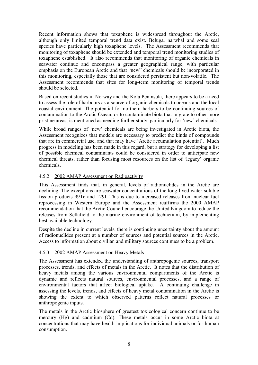Recent information shows that toxaphene is widespread throughout the Arctic, although only limited temporal trend data exist. Beluga, narwhal and some seal species have particularly high toxaphene levels. The Assessment recommends that monitoring of toxaphene should be extended and temporal trend monitoring studies of toxaphene established. It also recommends that monitoring of organic chemicals in seawater continue and encompass a greater geographical range, with particular emphasis on the European Arctic and that "new" chemicals should be incorporated in this monitoring, especially those that are considered persistent but non-volatile. The Assessment recommends that sites for long-term monitoring of temporal trends should be selected.

Based on recent studies in Norway and the Kola Peninsula, there appears to be a need to assess the role of harbours as a source of organic chemicals to oceans and the local coastal environment. The potential for northern harbors to be continuing sources of contamination to the Arctic Ocean, or to contaminate biota that migrate to other more pristine areas, is mentioned as needing further study, particularly for 'new' chemicals.

While broad ranges of 'new' chemicals are being investigated in Arctic biota, the Assessment recognizes that models are necessary to predict the kinds of compounds that are in commercial use, and that may have 'Arctic accumulation potential'. Much progress in modeling has been made in this regard, but a strategy for developing a list of possible chemical contaminants could be considered in order to anticipate new chemical threats, rather than focusing most resources on the list of 'legacy' organic chemicals.

#### 4.5.2 2002 AMAP Assessment on Radioactivity

This Assessment finds that, in general, levels of radionuclides in the Arctic are declining. The exceptions are seawater concentrations of the long-lived water-soluble fission products 99Tc and 129I. This is due to increased releases from nuclear fuel reprocessing in Western Europe and the Assessment reaffirms the 2000 AMAP recommendation that the Arctic Council encourage the United Kingdom to reduce the releases from Sellafield to the marine environment of technetium, by implementing best available technology.

Despite the decline in current levels, there is continuing uncertainty about the amount of radionuclides present at a number of sources and potential sources in the Arctic. Access to information about civilian and military sources continues to be a problem.

# 4.5.3 2002 AMAP Assessment on Heavy Metals

The Assessment has extended the understanding of anthropogenic sources, transport processes, trends, and effects of metals in the Arctic. It notes that the distribution of heavy metals among the various environmental compartments of the Arctic is dynamic and reflects natural sources, environmental processes, and a range of environmental factors that affect biological uptake. A continuing challenge in assessing the levels, trends, and effects of heavy metal contamination in the Arctic is showing the extent to which observed patterns reflect natural processes or anthropogenic inputs.

The metals in the Arctic biosphere of greatest toxicological concern continue to be mercury (Hg) and cadmium (Cd). These metals occur in some Arctic biota at concentrations that may have health implications for individual animals or for human consumption.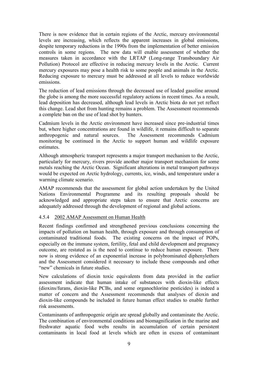There is now evidence that in certain regions of the Arctic, mercury environmental levels are increasing, which reflects the apparent increases in global emissions, despite temporary reductions in the 1990s from the implementation of better emission controls in some regions. The new data will enable assessment of whether the measures taken in accordance with the LRTAP (Long-range Transboundary Air Pollution) Protocol are effective in reducing mercury levels in the Arctic. Current mercury exposures may pose a health risk to some people and animals in the Arctic. Reducing exposure to mercury must be addressed at all levels to reduce worldwide emissions.

The reduction of lead emissions through the decreased use of leaded gasoline around the globe is among the more successful regulatory actions in recent times. As a result, lead deposition has decreased, although lead levels in Arctic biota do not yet reflect this change. Lead shot from hunting remains a problem. The Assessment recommends a complete ban on the use of lead shot by hunters.

Cadmium levels in the Arctic environment have increased since pre-industrial times but, where higher concentrations are found in wildlife, it remains difficult to separate anthropogenic and natural sources. The Assessment recommends Cadmium monitoring be continued in the Arctic to support human and wildlife exposure estimates.

Although atmospheric transport represents a major transport mechanism to the Arctic, particularly for mercury, rivers provide another major transport mechanism for some metals reaching the Arctic Ocean. Significant alterations in metal transport pathways would be expected on Arctic hydrology, currents, ice, winds, and temperature under a warming climate scenario.

AMAP recommends that the assessment for global action undertaken by the United Nations Environmental Programme and its resulting proposals should be acknowledged and appropriate steps taken to ensure that Arctic concerns are adequately addressed through the development of regional and global actions.

#### 4.5.4 2002 AMAP Assessment on Human Health

Recent findings confirmed and strengthened previous conclusions concerning the impacts of pollution on human health, through exposure and through consumption of contaminated traditional foods. The existing concerns on the impact of POPs, especially on the immune system, fertility, fetal and child development and pregnancy outcome, are restated as is the need to continue to reduce human exposure. There now is strong evidence of an exponential increase in polybrominated diphenylethers and the Assessment considered it necessary to include these compounds and other "new" chemicals in future studies.

New calculations of dioxin toxic equivalents from data provided in the earlier assessment indicate that human intake of substances with dioxin-like effects (dioxins/furans, dioxin-like PCBs, and some organochlorine pesticides) is indeed a matter of concern and the Assessment recommends that analyses of dioxin and dioxin-like compounds be included in future human effect studies to enable further risk assessments.

Contaminants of anthropogenic origin are spread globally and contaminate the Arctic. The combination of environmental conditions and biomagnification in the marine and freshwater aquatic food webs results in accumulation of certain persistent contaminants in local food at levels which are often in excess of contaminant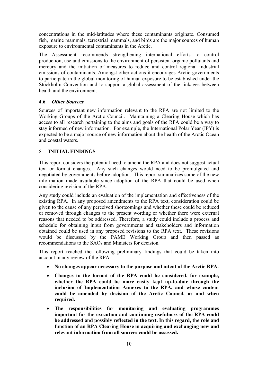concentrations in the mid-latitudes where these contaminants originate. Consumed fish, marine mammals, terrestrial mammals, and birds are the major sources of human exposure to environmental contaminants in the Arctic.

The Assessment recommends strengthening international efforts to control production, use and emissions to the environment of persistent organic pollutants and mercury and the initiation of measures to reduce and control regional industrial emissions of contaminants. Amongst other actions it encourages Arctic governments to participate in the global monitoring of human exposure to be established under the Stockholm Convention and to support a global assessment of the linkages between health and the environment.

#### **4.6 Other Sources**

Sources of important new information relevant to the RPA are not limited to the Working Groups of the Arctic Council. Maintaining a Clearing House which has access to all research pertaining to the aims and goals of the RPA could be a way to stay informed of new information. For example, the International Polar Year (IPY) is expected to be a major source of new information about the health of the Arctic Ocean and coastal waters.

# **5 INITIAL FINDINGS**

This report considers the potential need to amend the RPA and does not suggest actual text or format changes. Any such changes would need to be promulgated and negotiated by governments before adoption. This report summarizes some of the new information made available since adoption of the RPA that could be used when considering revision of the RPA.

Any study could include an evaluation of the implementation and effectiveness of the existing RPA. In any proposed amendments to the RPA text, consideration could be given to the cause of any perceived shortcomings and whether these could be reduced or removed through changes to the present wording or whether there were external reasons that needed to be addressed. Therefore, a study could include a process and schedule for obtaining input from governments and stakeholders and information obtained could be used in any proposed revisions to the RPA text. These revisions would be discussed by the PAME Working Group and then passed as recommendations to the SAOs and Ministers for decision.

This report reached the following preliminary findings that could be taken into account in any review of the RPA:

- **No changes appear necessary to the purpose and intent of the Arctic RPA.**
- **Changes to the format of the RPA could be considered, for example, whether the RPA could be more easily kept up-to-date through the inclusion of Implementation Annexes to the RPA, and whose content could be amended by decision of the Arctic Council, as and when required.**
- **The responsibilities for monitoring and evaluating programmes important for the execution and continuing usefulness of the RPA could be addressed and possibly reflected in the text. In this regard, the role and function of an RPA Clearing House in acquiring and exchanging new and relevant information from all sources could be assessed.**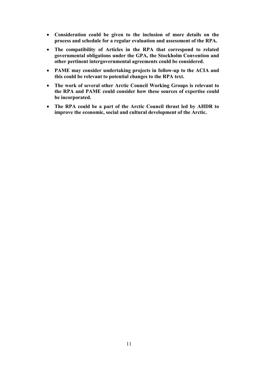- **Consideration could be given to the inclusion of more details on the process and schedule for a regular evaluation and assessment of the RPA.**
- **The compatibility of Articles in the RPA that correspond to related governmental obligations under the GPA, the Stockholm Convention and other pertinent intergovernmental agreements could be considered.**
- **PAME may consider undertaking projects in follow-up to the ACIA and this could be relevant to potential changes to the RPA text.**
- **The work of several other Arctic Council Working Groups is relevant to the RPA and PAME could consider how these sources of expertise could be incorporated.**
- **The RPA could be a part of the Arctic Council thrust led by AHDR to improve the economic, social and cultural development of the Arctic.**